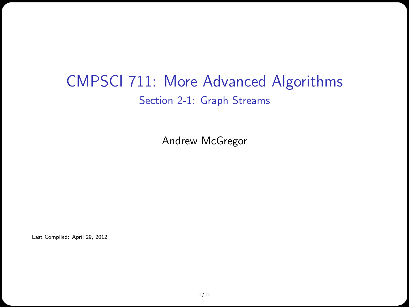### CMPSCI 711: More Advanced Algorithms Section 2-1: Graph Streams

Andrew McGregor

Last Compiled: April 29, 2012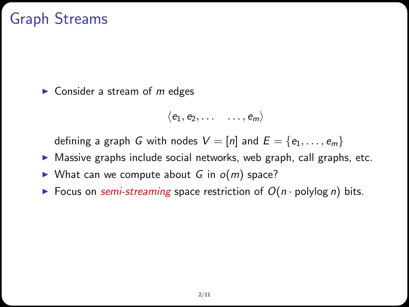# Graph Streams

 $\triangleright$  Consider a stream of *m* edges

$$
\langle e_1, e_2, \ldots \quad \ldots, e_m \rangle
$$

defining a graph G with nodes  $V = [n]$  and  $E = \{e_1, \ldots, e_m\}$ 

- $\triangleright$  Massive graphs include social networks, web graph, call graphs, etc.
- $\triangleright$  What can we compute about G in  $o(m)$  space?
- Focus on semi-streaming space restriction of  $O(n \cdot \text{polylog } n)$  bits.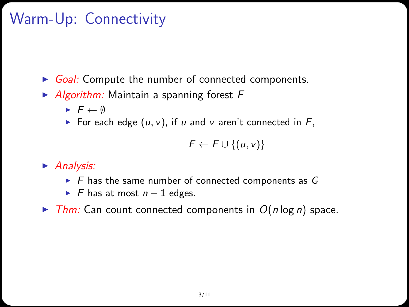# Warm-Up: Connectivity

Goal: Compute the number of connected components.

- $\blacktriangleright$  Algorithm: Maintain a spanning forest F
	- $\blacktriangleright$   $\vdash \leftarrow \emptyset$
	- For each edge  $(u, v)$ , if u and v aren't connected in F,

$$
F \leftarrow F \cup \{(u, v)\}
$$

 $\blacktriangleright$  Analysis:

- $\triangleright$  F has the same number of connected components as G
- $\blacktriangleright$  F has at most  $n-1$  edges.
- $\triangleright$  Thm: Can count connected components in  $O(n \log n)$  space.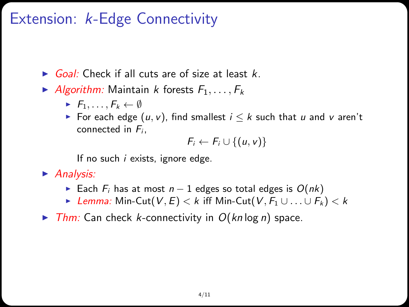## Extension: k-Edge Connectivity

- $\triangleright$  Goal: Check if all cuts are of size at least k.
- Algorithm: Maintain k forests  $F_1, \ldots, F_k$ 
	- $\blacktriangleright$   $F_1, \ldots, F_k \leftarrow \emptyset$
	- For each edge  $(u, v)$ , find smallest  $i \leq k$  such that u and v aren't connected in  $F_i$ ,

$$
F_i \leftarrow F_i \cup \{(u,v)\}\
$$

If no such i exists, ignore edge.

 $\blacktriangleright$  Analysis:

- ► Each  $F_i$  has at most  $n-1$  edges so total edges is  $O(nk)$
- $\triangleright$  Lemma: Min-Cut(V, E) < k iff Min-Cut(V,  $F_1 \cup ... \cup F_k$ ) < k
- $\triangleright$  Thm: Can check k-connectivity in  $O(kn \log n)$  space.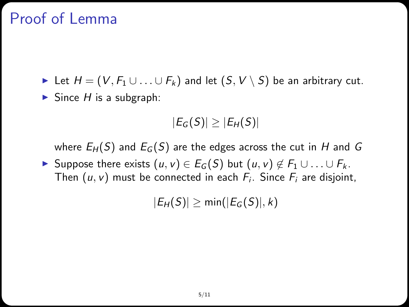## Proof of Lemma

► Let  $H = (V, F_1 \cup ... \cup F_k)$  and let  $(S, V \setminus S)$  be an arbitrary cut.  $\blacktriangleright$  Since H is a subgraph:

$$
|E_G(S)| \geq |E_H(S)|
$$

where  $E_H(S)$  and  $E_G(S)$  are the edges across the cut in H and G

**IF** Suppose there exists  $(u, v) \in E_G(S)$  but  $(u, v) \notin F_1 \cup ... \cup F_k$ . Then  $(u, v)$  must be connected in each  $F_i$ . Since  $F_i$  are disjoint,

 $|E_H(S)| \ge \min(|E_G(S)|, k)$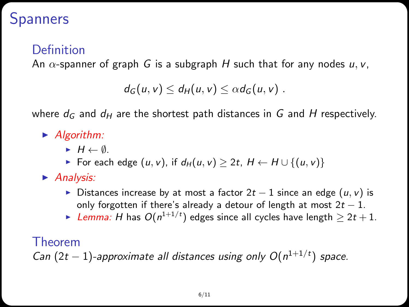### **Spanners**

### Definition

An  $\alpha$ -spanner of graph G is a subgraph H such that for any nodes  $u, v$ ,

$$
d_G(u,v)\leq d_H(u,v)\leq \alpha d_G(u,v).
$$

where  $d_G$  and  $d_H$  are the shortest path distances in G and H respectively.

- $\blacktriangleright$  Algorithm:
	- $\blacktriangleright$  H  $\leftarrow$  Ø.
	- For each edge  $(u, v)$ , if  $d_H(u, v) \geq 2t$ ,  $H \leftarrow H \cup \{(u, v)\}\$
- $\blacktriangleright$  Analysis:
	- $\triangleright$  Distances increase by at most a factor 2t 1 since an edge  $(u, v)$  is only forgotten if there's already a detour of length at most  $2t - 1$ .
	- ► Lemma: H has  $O(n^{1+1/t})$  edges since all cycles have length  $\geq 2t+1.$

#### Theorem

Can  $(2t - 1)$ -approximate all distances using only  $O(n^{1+1/t})$  space.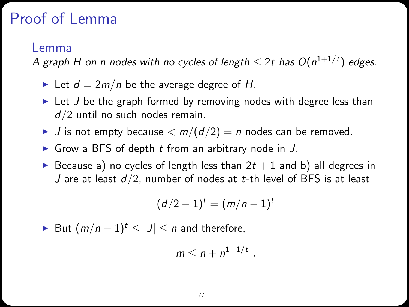## Proof of Lemma

#### Lemma

A graph H on n nodes with no cycles of length  $\leq$  2t has  $O(n^{1+1/t})$  edges.

- In Let  $d = 2m/n$  be the average degree of H.
- $\blacktriangleright$  Let *J* be the graph formed by removing nodes with degree less than d/2 until no such nodes remain.
- If J is not empty because  $\langle m/(d/2) = n \text{ nodes can be removed.}$
- Grow a BFS of depth  $t$  from an arbitrary node in  $J$ .
- Because a) no cycles of length less than  $2t + 1$  and b) all degrees in J are at least  $d/2$ , number of nodes at t-th level of BFS is at least

$$
(d/2-1)^t=(m/n-1)^t
$$

► But  $(m/n-1)^t \leq |J| \leq n$  and therefore,

$$
m\leq n+n^{1+1/t}.
$$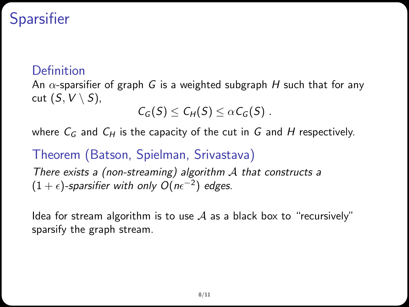## **Sparsifier**

### **Definition**

An  $\alpha$ -sparsifier of graph G is a weighted subgraph H such that for any cut  $(S, V \setminus S)$ ,

$$
C_G(S) \leq C_H(S) \leq \alpha C_G(S).
$$

where  $C_G$  and  $C_H$  is the capacity of the cut in G and H respectively.

### Theorem (Batson, Spielman, Srivastava)

There exists a (non-streaming) algorithm  $A$  that constructs a  $(1+\epsilon)$ -sparsifier with only  $O(n\epsilon^{-2})$  edges.

Idea for stream algorithm is to use  $A$  as a black box to "recursively" sparsify the graph stream.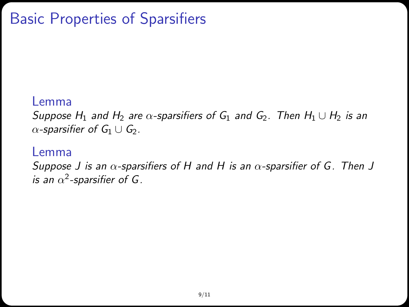## Basic Properties of Sparsifiers

#### Lemma

Suppose H<sub>1</sub> and H<sub>2</sub> are  $\alpha$ -sparsifiers of G<sub>1</sub> and G<sub>2</sub>. Then H<sub>1</sub> ∪ H<sub>2</sub> is an  $\alpha$ -sparsifier of  $G_1 \cup G_2$ .

#### Lemma

Suppose J is an  $\alpha$ -sparsifiers of H and H is an  $\alpha$ -sparsifier of G. Then J is an  $\alpha^2$ -sparsifier of G.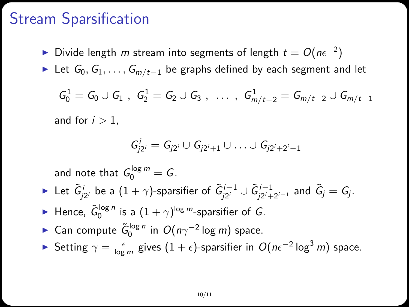### Stream Sparsification

- ► Divide length  $m$  stream into segments of length  $t = O(n\epsilon^{-2})$
- ► Let  $G_0, G_1, \ldots, G_{m/t-1}$  be graphs defined by each segment and let

$$
\mathcal{G}^1_0 = \mathcal{G}_0 \cup \mathcal{G}_1 \ , \ \mathcal{G}^1_2 = \mathcal{G}_2 \cup \mathcal{G}_3 \ , \ \ldots \ , \ \mathcal{G}^1_{m/t-2} = \mathcal{G}_{m/t-2} \cup \mathcal{G}_{m/t-1}
$$

and for  $i > 1$ ,

$$
\mathsf{G}_{j2^i}^i = \mathsf{G}_{j2^i} \cup \mathsf{G}_{j2^i+1} \cup \ldots \cup \mathsf{G}_{j2^i+2^i-1}
$$

and note that  $G_0^{\log m} = G$ . ► Let  $\tilde{G}^i_{j2^i}$  be a  $(1+\gamma)$ -sparsifier of  $\tilde{G}^{i-1}_{j2^i}\cup \tilde{G}^{i-1}_{j2^i+2^{i-1}}$  and  $\tilde{G}_j=G_j.$ ► Hence,  $\tilde{G}_0^{\log n}$  is a  $(1 + \gamma)^{\log m}$ -sparsifier of G. ► Can compute  $\tilde{G}_0^{\log n}$  in  $O(n\gamma^{-2} \log m)$  space. ► Setting  $\gamma = \frac{\epsilon}{\log m}$  gives  $(1 + \epsilon)$ -sparsifier in  $O(n\epsilon^{-2} \log^3 m)$  space.